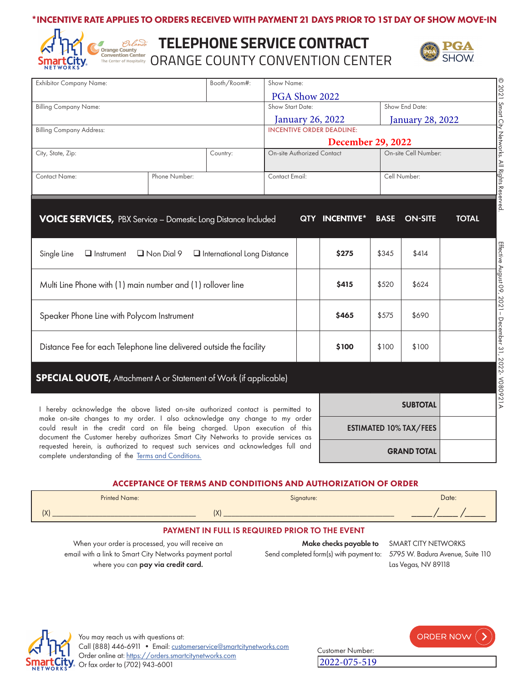## \*INCENTIVE RATE APPLIES TO ORDERS RECEIVED WITH PAYMENT 21 DAYS PRIOR TO 1ST DAY OF SHOW MOVE-IN



# **TELEPHONE SERVICE CONTRACT** Convention Center<br>The Center of Hospitality</sub> ORANGE COUNTY CONVENTION CENTER



| Booth/Room#:<br><b>Exhibitor Company Name:</b>                                                                                            |               | Show Name:                           |                                                                  |                                  |                               |                  |                 |              |  |
|-------------------------------------------------------------------------------------------------------------------------------------------|---------------|--------------------------------------|------------------------------------------------------------------|----------------------------------|-------------------------------|------------------|-----------------|--------------|--|
|                                                                                                                                           |               |                                      | © 2021 Smart City Networks. All Rights Reserved<br>PGA Show 2022 |                                  |                               |                  |                 |              |  |
| <b>Billing Company Name:</b>                                                                                                              |               |                                      | Show Start Date:                                                 |                                  |                               | Show End Date:   |                 |              |  |
|                                                                                                                                           |               |                                      |                                                                  | January 26, 2022                 |                               | January 28, 2022 |                 |              |  |
| <b>Billing Company Address:</b>                                                                                                           |               |                                      |                                                                  | <b>INCENTIVE ORDER DEADLINE:</b> |                               |                  |                 |              |  |
|                                                                                                                                           |               |                                      |                                                                  | <b>December 29, 2022</b>         |                               |                  |                 |              |  |
| City, State, Zip:                                                                                                                         |               | Country:                             | On-site Cell Number:<br><b>On-site Authorized Contact</b>        |                                  |                               |                  |                 |              |  |
|                                                                                                                                           |               |                                      |                                                                  |                                  |                               |                  |                 |              |  |
| Contact Name:                                                                                                                             | Phone Number: |                                      | Contact Email:                                                   |                                  | Cell Number:                  |                  |                 |              |  |
|                                                                                                                                           |               |                                      |                                                                  |                                  |                               |                  |                 |              |  |
|                                                                                                                                           |               |                                      |                                                                  |                                  |                               |                  |                 |              |  |
|                                                                                                                                           |               |                                      |                                                                  |                                  |                               |                  |                 |              |  |
| <b>VOICE SERVICES, PBX Service - Domestic Long Distance Included</b>                                                                      |               |                                      |                                                                  |                                  | <b>QTY INCENTIVE*</b>         | <b>BASE</b>      | <b>ON-SITE</b>  | <b>TOTAL</b> |  |
|                                                                                                                                           |               |                                      |                                                                  |                                  |                               |                  |                 |              |  |
|                                                                                                                                           |               |                                      |                                                                  |                                  |                               |                  |                 |              |  |
| $\Box$ Instrument<br>Single Line                                                                                                          | Non Dial 9    | <b>u</b> International Long Distance |                                                                  |                                  | \$275                         | \$345            | \$414           |              |  |
|                                                                                                                                           |               |                                      |                                                                  |                                  |                               |                  |                 |              |  |
| Multi Line Phone with (1) main number and (1) rollover line                                                                               |               |                                      |                                                                  |                                  | \$415<br>\$520<br>\$624       |                  |                 |              |  |
|                                                                                                                                           |               |                                      |                                                                  |                                  |                               |                  |                 |              |  |
|                                                                                                                                           |               |                                      |                                                                  |                                  |                               |                  |                 |              |  |
| Speaker Phone Line with Polycom Instrument                                                                                                |               |                                      |                                                                  |                                  | \$465<br>\$690<br>\$575       |                  |                 |              |  |
|                                                                                                                                           |               |                                      |                                                                  |                                  |                               |                  |                 |              |  |
|                                                                                                                                           |               |                                      |                                                                  |                                  | \$100                         |                  |                 |              |  |
| Distance Fee for each Telephone line delivered outside the facility                                                                       |               |                                      |                                                                  |                                  |                               | \$100            | \$100           |              |  |
|                                                                                                                                           |               |                                      |                                                                  |                                  |                               |                  |                 |              |  |
|                                                                                                                                           |               |                                      |                                                                  |                                  |                               |                  |                 |              |  |
| <b>SPECIAL QUOTE, Attachment A or Statement of Work (if applicable)</b>                                                                   |               |                                      |                                                                  |                                  |                               |                  |                 |              |  |
|                                                                                                                                           |               |                                      |                                                                  |                                  |                               |                  |                 |              |  |
| I hereby acknowledge the above listed on-site authorized contact is permitted to                                                          |               |                                      |                                                                  |                                  |                               |                  | <b>SUBTOTAL</b> |              |  |
| make on-site changes to my order. I also acknowledge any change to my order                                                               |               |                                      |                                                                  |                                  |                               |                  |                 |              |  |
| could result in the credit card on file being charged. Upon execution of this                                                             |               |                                      |                                                                  |                                  | <b>ESTIMATED 10% TAX/FEES</b> |                  |                 |              |  |
| document the Customer hereby authorizes Smart City Networks to provide services as                                                        |               |                                      |                                                                  |                                  |                               |                  |                 |              |  |
| requested herein, is authorized to request such services and acknowledges full and<br>complete understanding of the Terms and Conditions. |               |                                      | <b>GRAND TOTAL</b>                                               |                                  |                               |                  |                 |              |  |
|                                                                                                                                           |               |                                      |                                                                  |                                  |                               |                  |                 |              |  |

#### ACCEPTANCE OF TERMS AND CONDITIONS AND AUTHORIZATION OF ORDER

|                                                       | <b>Printed Name:</b> |     | Signature: | Date: |  |  |  |  |
|-------------------------------------------------------|----------------------|-----|------------|-------|--|--|--|--|
|                                                       |                      | (X) |            |       |  |  |  |  |
| <b>PAYMENT IN FULL IS REQUIRED PRIOR TO THE EVENT</b> |                      |     |            |       |  |  |  |  |

When your order is processed, you will receive an email with a link to Smart City Networks payment portal where you can pay via credit card.

Make checks payable to SMART CITY NETWORKS Send completed form(s) with payment to: 5795 W. Badura Avenue, Suite 110

Las Vegas, NV 89118



ORDER NOW ( Customer Number: 2022-075-519